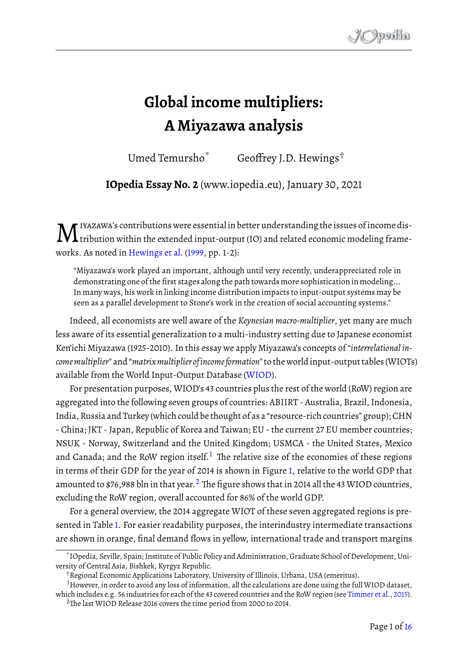## **Global income multipliers: A Miyazawa analysis**

Umed Temursho<sup>\*</sup> Geoffrey J.D. Hewings<sup>†</sup>

**IOpedia Essay No. 2** (www.iopedia.eu), January 30, 2021

M iyazawa's contributions were essential in better understanding the issues of income dis- $\sf L$  tribution within the extended input-output (IO) and related economic modeling frameworks. As noted in [Hewings et al.](#page-15-0) [\(1999,](#page-15-0) pp. 1-2):

"Miyazawa's work played an important, although until very recently, underappreciated role in demonstrating one of the first stages along the path towards more sophistication in modeling... In many ways, his work in linking income distribution impacts to input-output systems may be seen as a parallel development to Stone's work in the creation of social accounting systems."

Indeed, all economists are well aware of the *Keynesian macro-multiplier*, yet many are much less aware of its essential generalization to a multi-industry setting due to Japanese economist Ken'ichi Miyazawa (1925-2010). In this essay we apply Miyazawa's concepts of "*interrelational incomemultiplier*" and "*matrixmultiplier ofincomeformation*" to the worldinput-output tables(WIOTs) available from the World Input-Output Database [\(WIOD\)](http://www.wiod.org).

For presentation purposes, WIOD's 43 countries plus the rest of the world (RoW) region are aggregated into the following seven groups of countries: ABIIRT - Australia, Brazil, Indonesia, India, Russia and Turkey (which could be thought of as a "resource-rich countries" group); CHN - China; JKT - Japan, Republic of Korea and Taiwan; EU - the current 27 EU member countries; NSUK - Norway, Switzerland and the United Kingdom; USMCA - the United States, Mexico and Canada; and the RoW region itself.<sup>[1](#page-0-0)</sup> The relative size of the economies of these regions in terms of their GDP for the year of 2014 is shown in Figure [1,](#page-1-0) relative to the world GDP that amounted to \$76,988 bln in that year.<sup>[2](#page-0-1)</sup> The figure shows that in 2014 all the 43 WIOD countries, excluding the RoW region, overall accounted for 86% of the world GDP.

For a general overview, the 2014 aggregate WIOT of these seven aggregated regions is presented in Table [1.](#page-1-1) For easier readability purposes, the interindustry intermediate transactions are shown in orange, final demand flows in yellow, international trade and transport margins

<sup>\*</sup>IOpedia, Seville, Spain; Institute of Public Policy and Administration, Graduate School of Development, University of Central Asia, Bishkek, Kyrgyz Republic.

<span id="page-0-0"></span><sup>†</sup>Regional Economic Applications Laboratory, University of Illinois, Urbana, USA (emeritus).

<span id="page-0-1"></span> $<sup>1</sup>$ However, in order to avoid any loss of information, all the calculations are done using the full WIOD dataset,</sup> which includes e.g. 56 industries for each of the 43 covered countries and the RoW region (see [Timmer et al.,](#page-15-1) [2015\)](#page-15-1).  $2$ The last WIOD Release 2016 covers the time period from 2000 to 2014.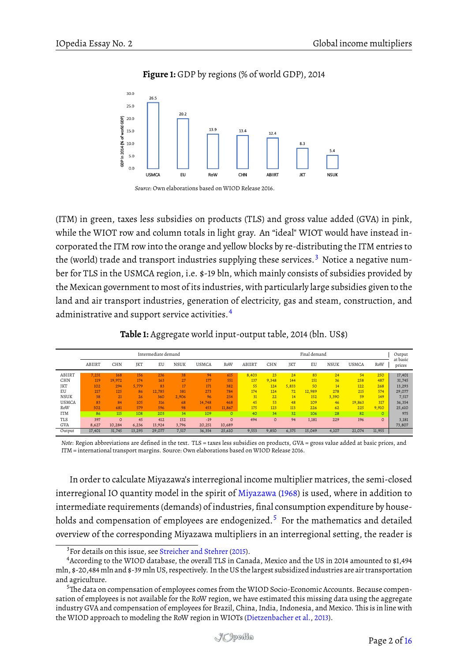**Figure 1:** GDP by regions (% of world GDP), 2014

<span id="page-1-0"></span>

*Source*: Own elaborations based on WIOD Release 2016.

(ITM) in green, taxes less subsidies on products (TLS) and gross value added (GVA) in pink, while the WIOT row and column totals in light gray. An "ideal" WIOT would have instead incorporated the ITM row into the orange and yellow blocks by re-distributing the ITM entries to the (world) trade and transport industries supplying these services.<sup>[3](#page-1-2)</sup> Notice a negative number for TLS in the USMCA region, i.e. \$-19 bln, which mainly consists of subsidies provided by the Mexican government to most of its industries, with particularly large subsidies given to the land and air transport industries, generation of electricity, gas and steam, construction, and administrative and support service activities.<sup>[4](#page-1-3)</sup>

**Table 1:** Aggregate world input-output table, 2014 (bln. US\$)

<span id="page-1-1"></span>

|                   | Intermediate demand |                  |                       |               |                |                  | Final demand       |           |              |              |               |              | Output<br>at basic |                  |                  |
|-------------------|---------------------|------------------|-----------------------|---------------|----------------|------------------|--------------------|-----------|--------------|--------------|---------------|--------------|--------------------|------------------|------------------|
|                   | ABIIRT              | CHN              | JKT                   | EU            | <b>NSUK</b>    | <b>USMCA</b>     | RoW                | ABIIRT    | CHN          | <b>IKT</b>   | EU            | <b>NSUK</b>  | <b>USMCA</b>       | RoW              | prices           |
| ABIIRT            | 7.231               | 168              | 156                   | 236           | 38             | 94               | 615                | 8.403     | 23           | 24           | 83            | 24           | 54                 | 250              | 17,401           |
| CHN<br>JKT        | 119<br>102          | 19.972<br>294    | 174<br>5.779          | 163<br>83     | 27<br>17       | 177<br>171       | 551<br>382         | 137<br>55 | 9.348<br>124 | 144<br>5,833 | 151<br>50     | 36<br>14     | 258<br>122         | 487<br>268       | 31,745<br>13,293 |
| EU<br><b>NSUK</b> | 217<br>38           | 125<br>21        | 86<br>26 <sup>°</sup> | 12.785<br>360 | 381<br>2.906   | 273<br>96        | 784<br>254         | 174<br>31 | 124<br>22    | 72<br>14     | 12,989<br>152 | 278<br>3,390 | 215<br>59          | 574<br>149       | 29,077<br>7,517  |
| <b>USMCA</b>      | 83                  | 84               | 105                   | 316           | 68             | 14.748           | 468                | 45        | 53           | 48           | 109           | 46           | 19.863             | 317              | 36,354           |
| RoW<br><b>ITM</b> | 502<br>86           | 681<br>115       | 579<br>108            | 596<br>203    | 98<br>34       | 453<br>109       | 11,867<br>$\Omega$ | 175<br>40 | 123<br>34    | 113<br>32    | 226<br>106    | 62<br>28     | 225<br>82          | 9,910<br>$\circ$ | 25,610<br>975    |
| TLS               | 397                 | $\circ$          | 45                    | 412<br>13.924 | 152            | $-19$            | $\Omega$           | 494       | $\circ$      | 94           | 1,181         | 229          | 196                | $\circ$          | 3,181            |
| GVA<br>Output     | 8,627<br>17,401     | 10,284<br>31,745 | 6,236<br>13,293       | 29,077        | 3,796<br>7,517 | 20,251<br>36,354 | 10,689<br>25,610   | 9,553     | 9,850        | 6,375        | 15,049        | 4,107        | 21,074             | 11,955           | 73,807           |

*Note*: Region abbreviations are defined in the text. TLS = taxes less subsidies on products, GVA = gross value added at basic prices, and ITM = international transport margins. Source: Own elaborations based on WIOD Release 2016.

In order to calculate Miyazawa's interregional income multiplier matrices, the semi-closed interregional IO quantity model in the spirit of [Miyazawa](#page-15-3) [\(1968\)](#page-15-3) is used, where in addition to intermediate requirements (demands) of industries, final consumption expenditure by house-holds and compensation of employees are endogenized.<sup>[5](#page-1-4)</sup> For the mathematics and detailed overview of the corresponding Miyazawa multipliers in an interregional setting, the reader is

<span id="page-1-3"></span><span id="page-1-2"></span><sup>&</sup>lt;sup>3</sup> For details on this issue, see [Streicher and Stehrer](#page-15-4) [\(2015\)](#page-15-4).

<sup>4</sup>According to the WIOD database, the overall TLS in Canada, Mexico and the US in 2014 amounted to \$1,494 mln, \$-20,484 mln and \$-39 mln US, respectively. In the US the largest subsidized industries are air transportation and agriculture.

<span id="page-1-4"></span> $5$ The data on compensation of employees comes from the WIOD Socio-Economic Accounts. Because compensation of employees is not available for the RoW region, we have estimated this missing data using the aggregate industry GVA and compensation of employees for Brazil, China, India, Indonesia, and Mexico. This is in line with the WIOD approach to modeling the RoW region in WIOTs [\(Dietzenbacher et al.,](#page-14-0) [2013\)](#page-14-0).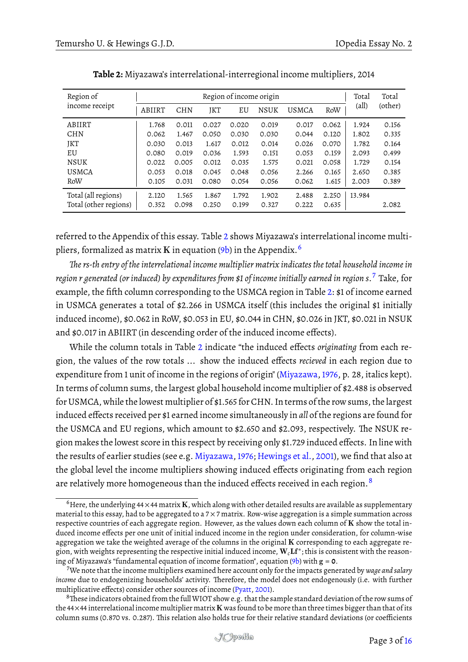<span id="page-2-0"></span>

| Region of             |        |            | Total | Total |             |              |       |                |         |
|-----------------------|--------|------------|-------|-------|-------------|--------------|-------|----------------|---------|
| income receipt        | ABIIRT | <b>CHN</b> | JKT   | EU    | <b>NSUK</b> | <b>USMCA</b> | RoW   | $\text{(all)}$ | (other) |
| ABIIRT                | 1.768  | 0.011      | 0.027 | 0.020 | 0.019       | 0.017        | 0.062 | 1.924          | 0.156   |
| <b>CHN</b>            | 0.062  | 1.467      | 0.050 | 0.030 | 0.030       | 0.044        | 0.120 | 1.802          | 0.335   |
| JKT                   | 0.030  | 0.013      | 1.617 | 0.012 | 0.014       | 0.026        | 0.070 | 1.782          | 0.164   |
| EU                    | 0.080  | 0.019      | 0.036 | 1.593 | 0.151       | 0.053        | 0.159 | 2.093          | 0.499   |
| <b>NSUK</b>           | 0.022  | 0.005      | 0.012 | 0.035 | 1.575       | 0.021        | 0.058 | 1.729          | 0.154   |
| <b>USMCA</b>          | 0.053  | 0.018      | 0.045 | 0.048 | 0.056       | 2.266        | 0.165 | 2.650          | 0.385   |
| RoW                   | 0.105  | 0.031      | 0.080 | 0.054 | 0.056       | 0.062        | 1.615 | 2.003          | 0.389   |
| Total (all regions)   | 2.120  | 1.565      | 1.867 | 1.792 | 1.902       | 2.488        | 2.250 | 13.984         |         |
| Total (other regions) | 0.352  | 0.098      | 0.250 | 0.199 | 0.327       | 0.222        | 0.635 |                | 2.082   |

**Table 2:** Miyazawa's interrelational-interregional income multipliers, 2014

referred to the Appendix of this essay. Table [2](#page-2-0) shows Miyazawa's interrelational income multipliers, formalized as matrix K in equation  $(9b)$  in the Appendix.<sup>[6](#page-2-1)</sup>

*e rs-th entry of the interrelational income multiplier matrix indicates the total household income in region r generated (or induced) by expenditures from \$1 of income initially earned in region s*. [7](#page-2-2) Take, for example, the fifth column corresponding to the USMCA region in Table [2:](#page-2-0) \$1 of income earned in USMCA generates a total of \$2.266 in USMCA itself (this includes the original \$1 initially induced income), \$0.062 in RoW, \$0.053 in EU, \$0.044 in CHN, \$0.026 in JKT, \$0.021 in NSUK and \$0.017 in ABIIRT (in descending order of the induced income effects).

While the column totals in Table [2](#page-2-0) indicate "the induced effects *originating* from each region, the values of the row totals ... show the induced effects *recieved* in each region due to expenditure from 1 unit of income in the regions of origin" [\(Miyazawa,1976,](#page-15-5) p. 28, italics kept). In terms of column sums, the largest global household income multiplier of \$2.488 is observed for USMCA, while the lowest multiplier of \$1.565 for CHN. In terms of the row sums, the largest induced effects received per \$1 earned income simultaneously in *all* of the regions are found for the USMCA and EU regions, which amount to \$2.650 and \$2.093, respectively. The NSUK region makes the lowest score in this respect by receiving only \$1.729 induced effects. In line with the results of earlier studies (see e.g. [Miyazawa,1976;](#page-15-5) [Hewings et al.,](#page-15-6) [2001\)](#page-15-6), we find that also at the global level the income multipliers showing induced effects originating from each region are relatively more homogeneous than the induced effects received in each region.<sup>[8](#page-2-3)</sup>

<span id="page-2-1"></span> $6$ Here, the underlying 44  $\times$  44 matrix **K**, which along with other detailed results are available as supplementary material to this essay, had to be aggregated to a  $7 \times 7$  matrix. Row-wise aggregation is a simple summation across respective countries of each aggregate region. However, as the values down each column of  $K$  show the total induced income effects per one unit of initial induced income in the region under consideration, for column-wise aggregation we take the weighted average of the columns in the original K corresponding to each aggregate region, with weights representing the respective initial induced income,  $\bf{W}_c\bf{L}f^*$ ; this is consistent with the reasoning of Miyazawa's "fundamental equation of income formation", equation [\(9b\)](#page-12-0) with g = **0**.

<span id="page-2-2"></span><sup>7</sup>We note that the income multipliers examined here account only for the impacts generated by *wage and salary income* due to endogenizing households' activity. Therefore, the model does not endogenously (i.e. with further multiplicative effects) consider other sources of income [\(Pyatt,](#page-15-7) [2001\)](#page-15-7).

<span id="page-2-3"></span><sup>&</sup>lt;sup>8</sup>These indicators obtained from the full WIOT show e.g. that the sample standard deviation of the row sums of the 44×44 interrelational income multiplier matrix K was found to be more than three times bigger than that of its column sums (0.870 vs. 0.287). This relation also holds true for their relative standard deviations (or coefficients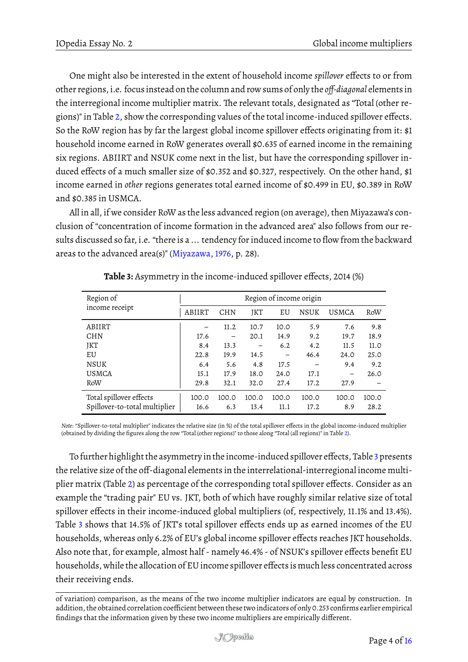One might also be interested in the extent of household income *spillover* effects to or from other regions, i.e. focus instead on the column and row sums of only the *off-diagonal* elements in the interregional income multiplier matrix. The relevant totals, designated as "Total (other regions)" in Table [2,](#page-2-0) show the corresponding values of the total income-induced spillover effects. So the RoW region has by far the largest global income spillover effects originating from it: \$1 household income earned in RoW generates overall \$0.635 of earned income in the remaining six regions. ABIIRT and NSUK come next in the list, but have the corresponding spillover induced effects of a much smaller size of \$0.352 and \$0.327, respectively. On the other hand, \$1 income earned in *other* regions generates total earned income of \$0.499 in EU, \$0.389 in RoW and \$0.385 in USMCA.

All in all, if we consider RoW as the less advanced region (on average), then Miyazawa's conclusion of "concentration of income formation in the advanced area" also follows from our results discussed so far, i.e. "there is a ... tendency for induced income to flow from the backward areas to the advanced area(s)" [\(Miyazawa,](#page-15-5) [1976,](#page-15-5) p. 28).

<span id="page-3-0"></span>

| Region of                     | Region of income origin |            |       |       |       |                          |       |  |  |
|-------------------------------|-------------------------|------------|-------|-------|-------|--------------------------|-------|--|--|
| income receipt                | ABIIRT                  | <b>CHN</b> | JKT   | EU    | NSUK  | <b>USMCA</b>             | RoW   |  |  |
| ABIIRT                        |                         | 11.2       | 10.7  | 10.0  | 5.9   | 7.6                      | 9.8   |  |  |
| <b>CHN</b>                    | 17.6                    |            | 20.1  | 14.9  | 9.2   | 19.7                     | 18.9  |  |  |
| JKT                           | 8.4                     | 13.3       |       | 6.2   | 4.2   | 11.5                     | 11.0  |  |  |
| EU                            | 22.8                    | 19.9       | 14.5  | —     | 46.4  | 24.0                     | 25.0  |  |  |
| <b>NSUK</b>                   | 6.4                     | 5.6        | 4.8   | 17.5  |       | 9.4                      | 9.2   |  |  |
| <b>USMCA</b>                  | 15.1                    | 17.9       | 18.0  | 24.0  | 17.1  | $\overline{\phantom{0}}$ | 26.0  |  |  |
| RoW                           | 29.8                    | 32.1       | 32.0  | 27.4  | 17.2  | 27.9                     |       |  |  |
| Total spillover effects       | 100.0                   | 100.0      | 100.0 | 100.0 | 100.0 | 100.0                    | 100.0 |  |  |
| Spillover-to-total multiplier | 16.6                    | 6.3        | 13.4  | 11.1  | 17.2  | 8.9                      | 28.2  |  |  |

|  | <b>Table 3:</b> Asymmetry in the income-induced spillover effects, 2014 (%) |
|--|-----------------------------------------------------------------------------|
|  |                                                                             |

*Note*: "Spillover-to-total multiplier" indicates the relative size (in %) of the total spillover effects in the global income-induced multiplier (obtained by dividing the figures along the row "Total (other regions)" to those along "Total (all regions)" in Table [2\)](#page-2-0).

To further highlight the asymmetry in the income-induced spillover effects, Table [3](#page-3-0) presents the relative size of the off-diagonal elements in the interrelational-interregional income multiplier matrix (Table [2\)](#page-2-0) as percentage of the corresponding total spillover effects. Consider as an example the "trading pair" EU vs. JKT, both of which have roughly similar relative size of total spillover effects in their income-induced global multipliers (of, respectively, 11.1% and 13.4%). Table [3](#page-3-0) shows that 14.5% of JKT's total spillover effects ends up as earned incomes of the EU households, whereas only 6.2% of EU's global income spillover effects reaches JKT households. Also note that, for example, almost half - namely 46.4% - of NSUK's spillover effects benefit EU households, while the allocation of EU income spillover effects is much less concentrated across their receiving ends.

of variation) comparison, as the means of the two income multiplier indicators are equal by construction. In addition, the obtained correlation coefficient between these two indicators of only 0.253 confirms earlier empirical findings that the information given by these two income multipliers are empirically different.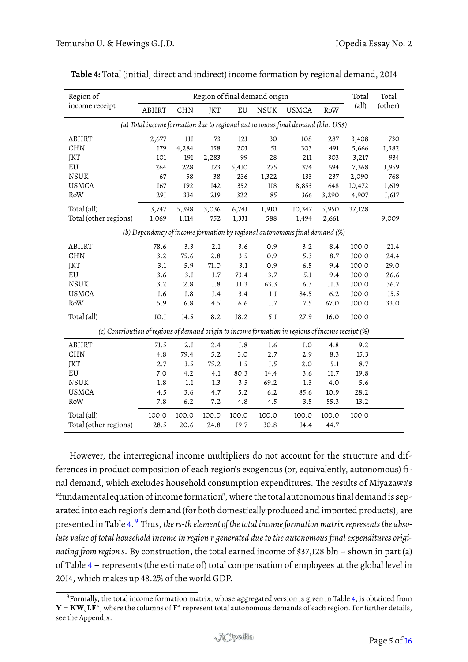| Region of                                                                                         |        |            |       |            | Region of final demand origin |                                                                                |              | Total          | Total   |
|---------------------------------------------------------------------------------------------------|--------|------------|-------|------------|-------------------------------|--------------------------------------------------------------------------------|--------------|----------------|---------|
| income receipt                                                                                    | ABIIRT | <b>CHN</b> | JKT   | ${\rm EU}$ | <b>NSUK</b>                   | <b>USMCA</b>                                                                   | $\mbox{RoW}$ | $\text{(all)}$ | (other) |
|                                                                                                   |        |            |       |            |                               | (a) Total income formation due to regional autonomous final demand (bln. US\$) |              |                |         |
| ABIIRT                                                                                            | 2,677  | 111        | 73    | 121        | 30                            | 108                                                                            | 287          | 3,408          | 730     |
| <b>CHN</b>                                                                                        | 179    | 4,284      | 158   | 201        | 51                            | 303                                                                            | 491          | 5,666          | 1,382   |
| JKT                                                                                               | 101    | 191        | 2,283 | 99         | 28                            | 211                                                                            | 303          | 3,217          | 934     |
| $\mathop{\rm EU}$                                                                                 | 264    | 228        | 123   | 5,410      | 275                           | 374                                                                            | 694          | 7,368          | 1,959   |
| <b>NSUK</b>                                                                                       | 67     | 58         | 38    | 236        | 1,322                         | 133                                                                            | 237          | 2,090          | 768     |
| <b>USMCA</b>                                                                                      | 167    | 192        | 142   | 352        | 118                           | 8,853                                                                          | 648          | 10,472         | 1,619   |
| RoW                                                                                               | 291    | 334        | 219   | 322        | 85                            | 366                                                                            | 3,290        | 4,907          | 1,617   |
| Total (all)                                                                                       | 3,747  | 5,398      | 3,036 | 6,741      | 1,910                         | 10,347                                                                         | 5,950        | 37,128         |         |
| Total (other regions)                                                                             | 1,069  | 1,114      | 752   | 1,331      | 588                           | 1,494                                                                          | 2,661        |                | 9,009   |
|                                                                                                   |        |            |       |            |                               | (b) Dependency of income formation by regional autonomous final demand (%)     |              |                |         |
| ABIIRT                                                                                            | 78.6   | 3.3        | 2.1   | 3.6        | 0.9                           | 3.2                                                                            | 8.4          | 100.0          | 21.4    |
| <b>CHN</b>                                                                                        | 3.2    | 75.6       | 2.8   | 3.5        | 0.9                           | 5.3                                                                            | 8.7          | 100.0          | 24.4    |
| JKT                                                                                               | 3.1    | 5.9        | 71.0  | 3.1        | 0.9                           | 6.5                                                                            | 9.4          | 100.0          | 29.0    |
| ${\rm EU}$                                                                                        | 3.6    | 3.1        | 1.7   | 73.4       | 3.7                           | 5.1                                                                            | 9.4          | 100.0          | 26.6    |
| <b>NSUK</b>                                                                                       | 3.2    | 2.8        | 1.8   | 11.3       | 63.3                          | 6.3                                                                            | 11.3         | 100.0          | 36.7    |
| <b>USMCA</b>                                                                                      | 1.6    | 1.8        | 1.4   | 3.4        | 1.1                           | 84.5                                                                           | 6.2          | 100.0          | 15.5    |
| RoW                                                                                               | 5.9    | 6.8        | 4.5   | 6.6        | $1.7\,$                       | 7.5                                                                            | 67.0         | 100.0          | 33.0    |
| Total (all)                                                                                       | 10.1   | 14.5       | 8.2   | 18.2       | 5.1                           | 27.9                                                                           | 16.0         | 100.0          |         |
| (c) Contribution of regions of demand origin to income formation in regions of income receipt (%) |        |            |       |            |                               |                                                                                |              |                |         |
| ABIIRT                                                                                            | 71.5   | 2.1        | 2.4   | 1.8        | 1.6                           | 1.0                                                                            | 4.8          | 9.2            |         |
| <b>CHN</b>                                                                                        | 4.8    | 79.4       | 5.2   | 3.0        | 2.7                           | 2.9                                                                            | 8.3          | 15.3           |         |
| JKT                                                                                               | 2.7    | 3.5        | 75.2  | 1.5        | 1.5                           | 2.0                                                                            | 5.1          | 8.7            |         |
| $\mathop{\rm EU}$                                                                                 | 7.0    | 4.2        | 4.1   | 80.3       | 14.4                          | 3.6                                                                            | $11.7\,$     | 19.8           |         |
| <b>NSUK</b>                                                                                       | 1.8    | $1.1\,$    | 1.3   | 3.5        | 69.2                          | 1.3                                                                            | 4.0          | 5.6            |         |
| <b>USMCA</b>                                                                                      | 4.5    | 3.6        | 4.7   | 5.2        | 6.2                           | 85.6                                                                           | 10.9         | 28.2           |         |
| $\rm RoW$                                                                                         | 7.8    | $6.2$      | 7.2   | 4.8        | 4.5                           | 3.5                                                                            | 55.3         | 13.2           |         |
| Total (all)                                                                                       | 100.0  | 100.0      | 100.0 | 100.0      | 100.0                         | 100.0                                                                          | 100.0        | 100.0          |         |
| Total (other regions)                                                                             | 28.5   | 20.6       | 24.8  | 19.7       | 30.8                          | 14.4                                                                           | 44.7         |                |         |

<span id="page-4-0"></span>**Table 4:** Total (initial, direct and indirect) income formation by regional demand, 2014

However, the interregional income multipliers do not account for the structure and differences in product composition of each region's exogenous (or, equivalently, autonomous) final demand, which excludes household consumption expenditures. The results of Miyazawa's "fundamental equation ofincome formation", where the total autonomous final demandis separated into each region's demand (for both domestically produced and imported products), are presented in Table [4.](#page-4-0)<sup>[9](#page-4-1)</sup> Thus, *the rs-th element of the total income formation matrix represents the absolute value of total household income in region r generated due to the autonomous final expenditures originating from region s*. By construction, the total earned income of \$37,128 bln – shown in part (a) of Table [4](#page-4-0) – represents (the estimate of) total compensation of employees at the global level in 2014, which makes up 48.2% of the world GDP.

<span id="page-4-1"></span><sup>9</sup>Formally, the total income formation matrix, whose aggregated version is given in Table [4,](#page-4-0) is obtained from  $Y = KW_cL\bar{F}^*$  , where the columns of  $\bar{F}^*$  represent total autonomous demands of each region. For further details, see the Appendix.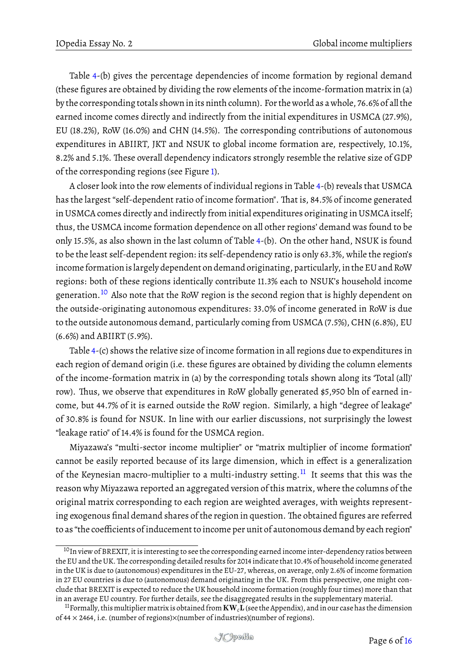Table [4-](#page-4-0)(b) gives the percentage dependencies of income formation by regional demand (these figures are obtained by dividing the row elements of the income-formation matrix in (a) by the corresponding totals shown inits ninth column). For the world as a whole, 76.6% of all the earned income comes directly and indirectly from the initial expenditures in USMCA (27.9%), EU (18.2%), RoW (16.0%) and CHN (14.5%). The corresponding contributions of autonomous expenditures in ABIIRT, JKT and NSUK to global income formation are, respectively, 10.1%, 8.2% and 5.1%. These overall dependency indicators strongly resemble the relative size of GDP of the corresponding regions (see Figure [1\)](#page-1-0).

A closer look into the row elements of individual regions in Table [4-](#page-4-0)(b) reveals that USMCA has the largest "self-dependent ratio of income formation". That is, 84.5% of income generated in USMCA comes directly and indirectly from initial expenditures originating in USMCA itself; thus, the USMCA income formation dependence on all other regions' demand was found to be only 15.5%, as also shown in the last column of Table [4-](#page-4-0)(b). On the other hand, NSUK is found to be the least self-dependent region: its self-dependency ratio is only 63.3%, while the region's income formationis largely dependent on demand originating, particularly, in the EU and RoW regions: both of these regions identically contribute 11.3% each to NSUK's household income generation.[10](#page-5-0) Also note that the RoW region is the second region that is highly dependent on the outside-originating autonomous expenditures: 33.0% of income generated in RoW is due to the outside autonomous demand, particularly coming from USMCA (7.5%), CHN (6.8%), EU (6.6%) and ABIIRT (5.9%).

Table [4-](#page-4-0)(c) shows the relative size of income formation in all regions due to expenditures in each region of demand origin (i.e. these figures are obtained by dividing the column elements of the income-formation matrix in (a) by the corresponding totals shown along its 'Total (all)' row). Thus, we observe that expenditures in RoW globally generated \$5,950 bln of earned income, but 44.7% of it is earned outside the RoW region. Similarly, a high "degree of leakage" of 30.8% is found for NSUK. In line with our earlier discussions, not surprisingly the lowest "leakage ratio" of 14.4% is found for the USMCA region.

Miyazawa's "multi-sector income multiplier" or "matrix multiplier of income formation" cannot be easily reported because of its large dimension, which in effect is a generalization of the Keynesian macro-multiplier to a multi-industry setting.<sup>[11](#page-5-1)</sup> It seems that this was the reason why Miyazawa reported an aggregated version of this matrix, where the columns of the original matrix corresponding to each region are weighted averages, with weights representing exogenous final demand shares of the region in question. The obtained figures are referred to as "the coefficients of inducement to income per unit of autonomous demand by each region"

<span id="page-5-0"></span><sup>&</sup>lt;sup>10</sup>In view of BREXIT, it is interesting to see the corresponding earned income inter-dependency ratios between the EU and the UK. The corresponding detailed results for 2014 indicate that 10.4% of household income generated in the UK is due to (autonomous) expenditures in the EU-27, whereas, on average, only 2.6% of income formation in 27 EU countries is due to (autonomous) demand originating in the UK. From this perspective, one might conclude that BREXIT is expected to reduce the UK household income formation (roughly four times) more than that in an average EU country. For further details, see the disaggregated results in the supplementary material.

<span id="page-5-1"></span><sup>11</sup>Formally, this multiplier matrix is obtained from KW*c*L(see the Appendix), and in our case has the dimension of 44 × 2464, i.e. (number of regions)×(number of industries)(number of regions).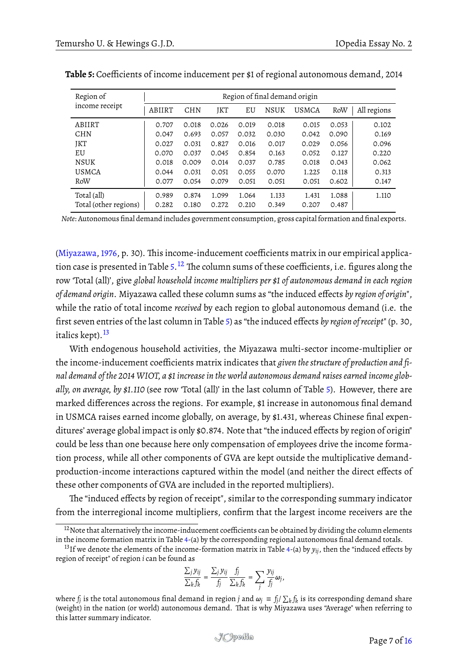| Region of             | Region of final demand origin |            |       |       |             |              |       |             |  |
|-----------------------|-------------------------------|------------|-------|-------|-------------|--------------|-------|-------------|--|
| income receipt        | ABIIRT                        | <b>CHN</b> | JKT   | EU    | <b>NSUK</b> | <b>USMCA</b> | RoW   | All regions |  |
| ABIIRT                | 0.707                         | 0.018      | 0.026 | 0.019 | 0.018       | 0.015        | 0.053 | 0.102       |  |
| <b>CHN</b>            | 0.047                         | 0.693      | 0.057 | 0.032 | 0.030       | 0.042        | 0.090 | 0.169       |  |
| JKT                   | 0.027                         | 0.031      | 0.827 | 0.016 | 0.017       | 0.029        | 0.056 | 0.096       |  |
| EU                    | 0.070                         | 0.037      | 0.045 | 0.854 | 0.163       | 0.052        | 0.127 | 0.220       |  |
| <b>NSUK</b>           | 0.018                         | 0.009      | 0.014 | 0.037 | 0.785       | 0.018        | 0.043 | 0.062       |  |
| <b>USMCA</b>          | 0.044                         | 0.031      | 0.051 | 0.055 | 0.070       | 1.225        | 0.118 | 0.313       |  |
| RoW                   | 0.077                         | 0.054      | 0.079 | 0.051 | 0.051       | 0.051        | 0.602 | 0.147       |  |
| Total (all)           | 0.989                         | 0.874      | 1.099 | 1.064 | 1.133       | 1.431        | 1.088 | 1.110       |  |
| Total (other regions) | 0.282                         | 0.180      | 0.272 | 0.210 | 0.349       | 0.207        | 0.487 |             |  |

<span id="page-6-0"></span>**Table 5:** Coefficients of income inducement per \$1 of regional autonomous demand, 2014

*Note*: Autonomous final demand includes government consumption, gross capital formation and final exports.

[\(Miyazawa,](#page-15-5) [1976,](#page-15-5) p. 30). This income-inducement coefficients matrix in our empirical applica-tion case is presented in Table [5.](#page-6-0)  $^{12}$  $^{12}$  $^{12}$  The column sums of these coefficients, i.e. figures along the row 'Total (all)', give *global household income multipliers per \$1 of autonomous demand in each region of demand origin*. Miyazawa called these column sums as "the induced effects *by region of origin*", while the ratio of total income *received* by each region to global autonomous demand (i.e. the first seven entries of the last column in Table [5\)](#page-6-0) as "the induced effects *by region of receipt*" (p. 30, italics kept). $^{13}$  $^{13}$  $^{13}$ 

With endogenous household activities, the Miyazawa multi-sector income-multiplier or the income-inducement coefficients matrix indicates that *given the structure of production and final demand of the 2014 WIOT, a \$1 increase in the world autonomous demand raises earned income globally, on average, by \$1.110* (see row 'Total (all)' in the last column of Table [5\)](#page-6-0). However, there are marked differences across the regions. For example, \$1 increase in autonomous final demand in USMCA raises earned income globally, on average, by \$1.431, whereas Chinese final expenditures' average global impact is only \$0.874. Note that "the induced effects by region of origin" could be less than one because here only compensation of employees drive the income formation process, while all other components of GVA are kept outside the multiplicative demandproduction-income interactions captured within the model (and neither the direct effects of these other components of GVA are included in the reported multipliers).

The "induced effects by region of receipt", similar to the corresponding summary indicator from the interregional income multipliers, confirm that the largest income receivers are the

$$
\frac{\sum_j y_{ij}}{\sum_k f_k} = \frac{\sum_j y_{ij}}{f_j} \frac{f_j}{\sum_k f_k} = \sum_j \frac{y_{ij}}{f_j} \omega_j,
$$

where  $f_j$  is the total autonomous final demand in region *j* and  $\omega_j = f_j/\sum_k f_k$  is its corresponding demand share (weight) in the nation (or world) autonomous demand. That is why Miyazawa uses "Average" when referring to this latter summary indicator.

<span id="page-6-1"></span> $12$ Note that alternatively the income-inducement coefficients can be obtained by dividing the column elements in the income formation matrix in Table [4-](#page-4-0)(a) by the corresponding regional autonomous final demand totals.

<span id="page-6-2"></span><sup>&</sup>lt;sup>13</sup>If we denote the elements of the income-formation matrix in Table [4-](#page-4-0)(a) by  $y_{ij}$ , then the "induced effects by region of receipt" of region *i* can be found as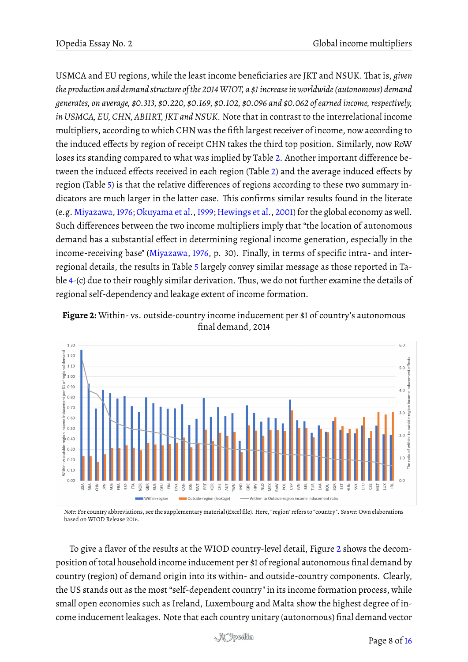USMCA and EU regions, while the least income beneficiaries are JKT and NSUK. That is, *given the production and demand structure of the 2014WIOT, a \$1 increase in worldwide (autonomous) demand generates, on average, \$0.313, \$0.220, \$0.169, \$0.102, \$0.096 and \$0.062 of earned income, respectively, in USMCA, EU, CHN, ABIIRT, JKT and NSUK.* Note that in contrast to the interrelational income multipliers, according to which CHN was the fifth largest receiver of income, now according to the induced effects by region of receipt CHN takes the third top position. Similarly, now RoW loses its standing compared to what was implied by Table [2.](#page-2-0) Another important difference between the induced effects received in each region (Table [2\)](#page-2-0) and the average induced effects by region (Table [5\)](#page-6-0) is that the relative differences of regions according to these two summary indicators are much larger in the latter case. This confirms similar results found in the literate (e.g. [Miyazawa,1976;](#page-15-5)[Okuyama et al.,1999;](#page-15-8) [Hewings et al.,](#page-15-6) [2001\)](#page-15-6) for the global economy as well. Such differences between the two income multipliers imply that "the location of autonomous demand has a substantial effect in determining regional income generation, especially in the income-receiving base" [\(Miyazawa,](#page-15-5) [1976,](#page-15-5) p. 30). Finally, in terms of specific intra- and interregional details, the results in Table [5](#page-6-0) largely convey similar message as those reported in Ta-ble [4-](#page-4-0) $(c)$  due to their roughly similar derivation. Thus, we do not further examine the details of regional self-dependency and leakage extent of income formation.

<span id="page-7-0"></span>



*Note*: For country abbreviations, see the supplementary material (Excel file). Here, "region" refers to "country". *Source*: Own elaborations based on WIOD Release 2016.

To give a flavor of the results at the WIOD country-level detail, Figure [2](#page-7-0) shows the decomposition of total household income inducement per \$1 of regional autonomous final demand by country (region) of demand origin into its within- and outside-country components. Clearly, the US stands out as the most "self-dependent country" in its income formation process, while small open economies such as Ireland, Luxembourg and Malta show the highest degree of income inducement leakages. Note that each country unitary (autonomous) final demand vector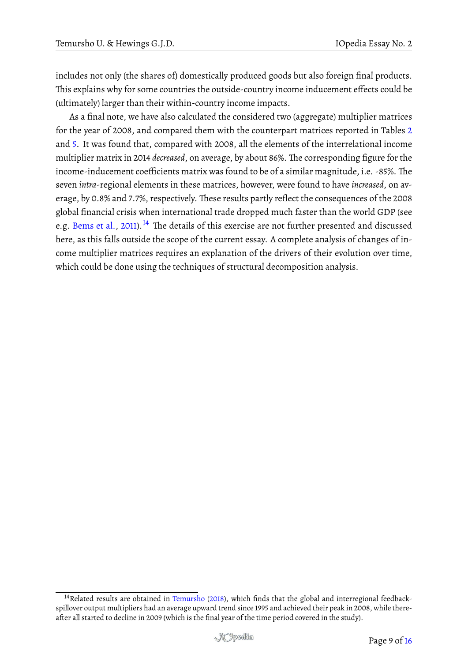includes not only (the shares of) domestically produced goods but also foreign final products. This explains why for some countries the outside-country income inducement effects could be (ultimately) larger than their within-country income impacts.

As a final note, we have also calculated the considered two (aggregate) multiplier matrices for the year of 2008, and compared them with the counterpart matrices reported in Tables [2](#page-2-0) and [5.](#page-6-0) It was found that, compared with 2008, all the elements of the interrelational income multiplier matrix in 2014 *decreased*, on average, by about 86%. The corresponding figure for the income-inducement coefficients matrix was found to be of a similar magnitude, i.e. -85%. The seven *intra*-regional elements in these matrices, however, were found to have *increased*, on average, by 0.8% and 7.7%, respectively. These results partly reflect the consequences of the 2008 global financial crisis when international trade dropped much faster than the world GDP (see e.g. [Bems et al.,](#page-14-1) [2011\)](#page-14-1).<sup>[14](#page-8-0)</sup> The details of this exercise are not further presented and discussed here, as this falls outside the scope of the current essay. A complete analysis of changes of income multiplier matrices requires an explanation of the drivers of their evolution over time, which could be done using the techniques of structural decomposition analysis.

<span id="page-8-0"></span><sup>&</sup>lt;sup>14</sup> Related results are obtained in [Temursho](#page-15-9) [\(2018\)](#page-15-9), which finds that the global and interregional feedbackspillover output multipliers had an average upward trend since 1995 and achieved their peak in 2008, while thereafter all started to decline in 2009 (which is the final year of the time period covered in the study).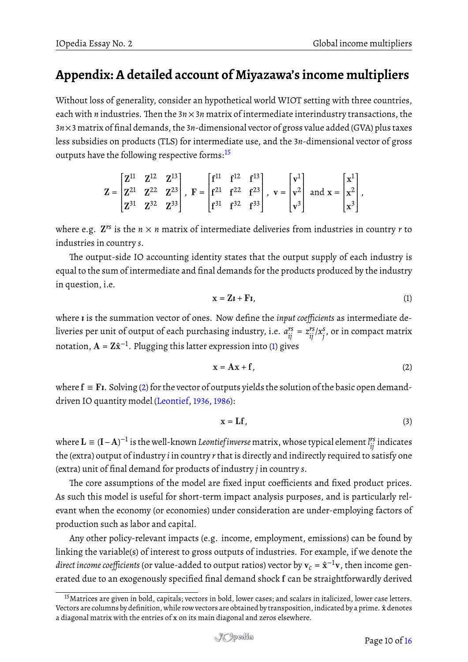## **Appendix: A detailed account of Miyazawa's income multipliers**

Without loss of generality, consider an hypothetical world WIOT setting with three countries, each with *n* industries. Then the  $3n \times 3n$  matrix of intermediate interindustry transactions, the 3*n*×3 matrix of final demands, the 3*n*-dimensional vector of gross value added (GVA) plus taxes less subsidies on products (TLS) for intermediate use, and the 3*n*-dimensional vector of gross outputs have the following respective forms:<sup>[15](#page-9-0)</sup>

$$
Z = \begin{bmatrix} Z^{11} & Z^{12} & Z^{13} \\ Z^{21} & Z^{22} & Z^{23} \\ Z^{31} & Z^{32} & Z^{33} \end{bmatrix}, \ \ F = \begin{bmatrix} f^{11} & f^{12} & f^{13} \\ f^{21} & f^{22} & f^{23} \\ f^{31} & f^{32} & f^{33} \end{bmatrix}, \ \ v = \begin{bmatrix} v^1 \\ v^2 \\ v^3 \end{bmatrix} \text{ and } x = \begin{bmatrix} x^1 \\ x^2 \\ x^3 \end{bmatrix},
$$

where e.g.  $\mathbf{Z}^{rs}$  is the  $n \times n$  matrix of intermediate deliveries from industries in country  $r$  to industries in country *s*.

The output-side IO accounting identity states that the output supply of each industry is equal to the sum of intermediate and final demands for the products produced by the industry in question, i.e.

<span id="page-9-1"></span>
$$
x = Zt + Ft, \tag{1}
$$

where *ı* is the summation vector of ones. Now define the *input coefficients* as intermediate deliveries per unit of output of each purchasing industry, i.e.  $a_{ij}^{rs} = z_{ij}^{rs}/x_j^s$ *j* , or in compact matrix notation,  $\mathbf{A} = \mathbf{Z}\hat{\mathbf{x}}^{-1}$ . Plugging this latter expression into [\(1\)](#page-9-1) gives

<span id="page-9-2"></span>
$$
x = Ax + f, \tag{2}
$$

where  $f = F\iota$ . Solving [\(2\)](#page-9-2) for the vector of outputs yields the solution of the basic open demanddriven IO quantity model [\(Leontief,](#page-15-10) [1936,](#page-15-10) [1986\)](#page-15-11):

<span id="page-9-3"></span>
$$
x = Lf, \tag{3}
$$

where  $\mathbf{L}\equiv(\mathbf{I}-\mathbf{A})^{-1}$  is the well-known *Leontief inverse* matrix, whose typical element  $l_{ij}^{rs}$  indicates the (extra) output of industry *i* in country *r* that is directly and indirectly required to satisfy one (extra) unit of final demand for products of industry *j* in country *s*.

The core assumptions of the model are fixed input coefficients and fixed product prices. As such this model is useful for short-term impact analysis purposes, and is particularly relevant when the economy (or economies) under consideration are under-employing factors of production such as labor and capital.

Any other policy-relevant impacts (e.g. income, employment, emissions) can be found by linking the variable(s) of interest to gross outputs of industries. For example, if we denote the *direct income coefficients* (or value-added to output ratios) vector by  $\mathbf{v}_c = \hat{\mathbf{x}}^{-1} \mathbf{v}$ , then income generated due to an exogenously specified final demand shock f can be straightforwardly derived

<span id="page-9-0"></span><sup>&</sup>lt;sup>15</sup> Matrices are given in bold, capitals; vectors in bold, lower cases; and scalars in italicized, lower case letters. Vectors are columns by definition, while row vectors are obtained by transposition, indicated by a prime.  $\hat{x}$  denotes a diagonal matrix with the entries of x on its main diagonal and zeros elsewhere.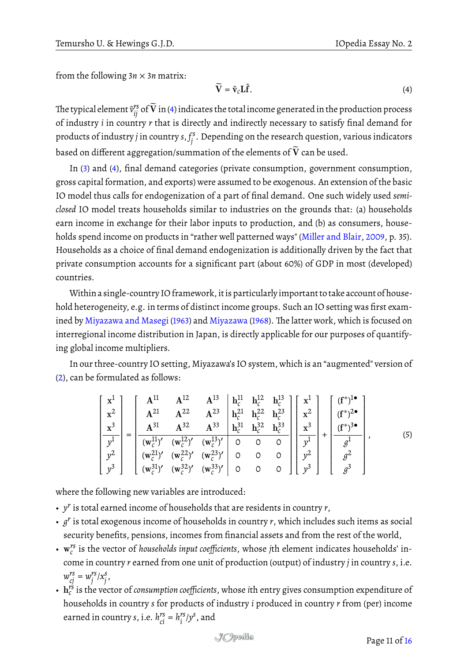from the following  $3n \times 3n$  matrix:

<span id="page-10-0"></span>
$$
\widetilde{\mathbf{V}} = \hat{\mathbf{v}}_c \mathbf{L} \hat{\mathbf{f}}.
$$
 (4)

The typical element  $\tilde{v}^{\rm rs}_{ij}$  of  $\widetilde{\bf V}$  in [\(4\)](#page-10-0) indicates the total income generated in the production process of industry *i* in country *r* that is directly and indirectly necessary to satisfy final demand for products of industry *j* in country *s*, *f s j* . Depending on the research question, various indicators based on different aggregation/summation of the elements of  $\widetilde{\mathbf{V}}$  can be used.

In [\(3\)](#page-9-3) and [\(4\)](#page-10-0), final demand categories (private consumption, government consumption, gross capital formation, and exports) were assumed to be exogenous. An extension of the basic IO model thus calls for endogenization of a part of final demand. One such widely used *semiclosed* IO model treats households similar to industries on the grounds that: (a) households earn income in exchange for their labor inputs to production, and (b) as consumers, households spend income on products in "rather well patterned ways" [\(Miller and Blair,](#page-15-12) [2009,](#page-15-12) p. 35). Households as a choice of final demand endogenization is additionally driven by the fact that private consumption accounts for a significant part (about 60%) of GDP in most (developed) countries.

Within a single-country IO framework, itis particularlyimportant to take account of household heterogeneity, e.g. in terms of distinct income groups. Such an IO setting was first exam-ined by [Miyazawa and Masegi](#page-15-13) [\(1963\)](#page-15-13) and [Miyazawa](#page-15-3) [\(1968\)](#page-15-3). The latter work, which is focused on interregional income distribution in Japan, is directly applicable for our purposes of quantifying global income multipliers.

In our three-country IO setting, Miyazawa's IO system, which is an "augmented" version of [\(2\)](#page-9-2), can be formulated as follows:

<span id="page-10-1"></span>
$$
\begin{bmatrix} x^{1} \\ x^{2} \\ x^{3} \\ y^{1} \\ y^{2} \\ y^{3} \end{bmatrix} = \begin{bmatrix} A^{11} & A^{12} & A^{13} & h_{c}^{11} & h_{c}^{12} & h_{c}^{13} \\ A^{21} & A^{22} & A^{23} & h_{c}^{21} & h_{c}^{22} & h_{c}^{23} \\ A^{31} & A^{32} & A^{33} & h_{c}^{31} & h_{c}^{32} & h_{c}^{33} \\ (w_{c}^{11})' & (w_{c}^{12})' & (w_{c}^{13})' & 0 & 0 & 0 \\ (w_{c}^{21})' & (w_{c}^{22})' & (w_{c}^{23})' & 0 & 0 & 0 \\ (w_{c}^{31})' & (w_{c}^{32})' & (w_{c}^{33})' & 0 & 0 & 0 \end{bmatrix} \begin{bmatrix} x^{1} \\ x^{2} \\ x^{3} \\ y^{1} \\ y^{2} \\ y^{3} \end{bmatrix} + \begin{bmatrix} (f^{*})^{1\bullet} \\ (f^{*})^{2\bullet} \\ (f^{*})^{3\bullet} \\ g^{1} \\ g^{2} \\ g^{3} \end{bmatrix},
$$
(5)

where the following new variables are introduced:

- *y r* is total earned income of households that are residents in country *r*,
- *g r* is total exogenous income of households in country *r*, which includes such items as social security benefits, pensions, incomes from financial assets and from the rest of the world,
- w *rs c* is the vector of *households input coefficients*, whose *j*th element indicates households' income in country *r* earned from one unit of production (output) of industry *j* in country *s*, i.e.  $w_{cj}^{rs} = w_j^{rs}$ *j* /*x s j* ,
- $\mathbf{h}_c^{rs}$  is the vector of *consumption coefficients*, whose *i*th entry gives consumption expenditure of households in country *s* for products of industry *i* produced in country *r* from (per) income earned in country *s*, i.e.  $h_{ci}^{rs} = h_i^{rs}$  $i^{rs}/y^{s}$ , and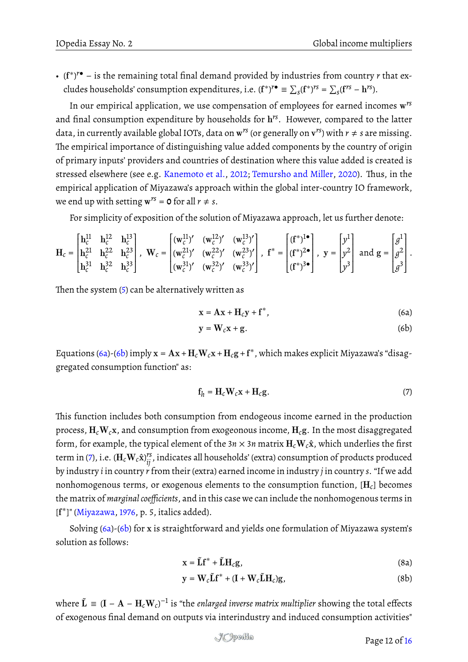• (f ∗ ) *<sup>r</sup>*• – is the remaining total final demand provided by industries from country *r* that excludes households' consumption expenditures, i.e.  $(f^*)^{r\bullet} \equiv \sum_s (f^*)^{rs} = \sum_s (f^{rs} - h^{rs}).$ 

In our empirical application, we use compensation of employees for earned incomes w *rs* and final consumption expenditure by households for h *rs*. However, compared to the latter data, in currently available global IOTs, data on  $w^{rs}$  (or generally on  $v^{rs}$ ) with  $r \neq s$  are missing. The empirical importance of distinguishing value added components by the country of origin of primary inputs' providers and countries of destination where this value added is created is stressed elsewhere (see e.g. [Kanemoto et al.,](#page-15-14) [2012;](#page-15-14) [Temursho and Miller,](#page-15-15) [2020\)](#page-15-15). Thus, in the empirical application of Miyazawa's approach within the global inter-country IO framework, we end up with setting  $w^{rs} = 0$  for all  $r \neq s$ .

For simplicity of exposition of the solution of Miyazawa approach, let us further denote:

$$
\mathbf{H}_{c} = \begin{bmatrix} \mathbf{h}_{c}^{11} & \mathbf{h}_{c}^{12} & \mathbf{h}_{c}^{13} \\ \mathbf{h}_{c}^{21} & \mathbf{h}_{c}^{22} & \mathbf{h}_{c}^{23} \\ \mathbf{h}_{c}^{31} & \mathbf{h}_{c}^{32} & \mathbf{h}_{c}^{33} \end{bmatrix}, \ \ \mathbf{W}_{c} = \begin{bmatrix} (\mathbf{w}_{c}^{11})' & (\mathbf{w}_{c}^{12})' & (\mathbf{w}_{c}^{13})' \\ (\mathbf{w}_{c}^{21})' & (\mathbf{w}_{c}^{22})' & (\mathbf{w}_{c}^{23})' \\ (\mathbf{w}_{c}^{31})' & (\mathbf{w}_{c}^{32})' & (\mathbf{w}_{c}^{33})' \end{bmatrix}, \ \ \mathbf{f}^{*} = \begin{bmatrix} (\mathbf{f}^{*})^{1\bullet} \\ (\mathbf{f}^{*})^{2\bullet} \\ (\mathbf{f}^{*})^{3\bullet} \end{bmatrix}, \ \ \mathbf{y} = \begin{bmatrix} y^{1} \\ y^{2} \\ y^{3} \end{bmatrix} \ \text{and} \ \mathbf{g} = \begin{bmatrix} g^{1} \\ g^{2} \\ g^{3} \end{bmatrix}.
$$

Then the system  $(5)$  can be alternatively written as

<span id="page-11-0"></span>
$$
\mathbf{x} = \mathbf{A}\mathbf{x} + \mathbf{H}_c \mathbf{y} + \mathbf{f}^*,
$$
 (6a)

<span id="page-11-1"></span>
$$
y = W_c x + g.
$$
 (6b)

Equations [\(6a\)](#page-11-0)-[\(6b\)](#page-11-1) imply  $x = Ax + H_cW_cx + H_cg + f^*$ , which makes explicit Miyazawa's "disaggregated consumption function" as:

<span id="page-11-2"></span>
$$
\mathbf{f}_h = \mathbf{H}_c \mathbf{W}_c \mathbf{x} + \mathbf{H}_c \mathbf{g}.
$$
 (7)

This function includes both consumption from endogeous income earned in the production process, H*c*W*c*x, and consumption from exogeonous income, H*c*g. In the most disaggregated form, for example, the typical element of the  $3n \times 3n$  matrix  $H_cW_c\hat{x}$ , which underlies the first term in [\(7\)](#page-11-2), i.e. ( $\mathbf{H}_c\mathbf{W}_c\mathbf{\hat{x}})^{rs}_{ij}$ , indicates all households' (extra) consumption of products produced by industry *i* in country *r* from their (extra) earned income in industry *j* in country *s*. "If we add nonhomogenous terms, or exogenous elements to the consumption function, [H*c*] becomes the matrix of *marginal coefficients*, and in this case we can include the nonhomogenous terms in [f<sup>\*</sup>]" [\(Miyazawa,](#page-15-5) [1976,](#page-15-5) p. 5, italics added).

Solving [\(6a\)](#page-11-0)-[\(6b\)](#page-11-1) for x is straightforward and yields one formulation of Miyazawa system's solution as follows:

$$
\mathbf{x} = \tilde{\mathbf{L}} \mathbf{f}^* + \tilde{\mathbf{L}} \mathbf{H}_c \mathbf{g},\tag{8a}
$$

$$
\mathbf{y} = \mathbf{W}_c \tilde{\mathbf{L}} \mathbf{f}^* + (\mathbf{I} + \mathbf{W}_c \tilde{\mathbf{L}} \mathbf{H}_c) \mathbf{g},\tag{8b}
$$

where  $\tilde{\bf L}\,\equiv\,{({\bf I}-{\bf A}-{\bf H}_c{\bf W}_c)^{-1}}$  is "the *enlarged inverse matrix multiplier s*howing the total effects of exogenous final demand on outputs via interindustry and induced consumption activities"

<span id="page-11-4"></span><span id="page-11-3"></span>Page 12 of [16](#page-15-2)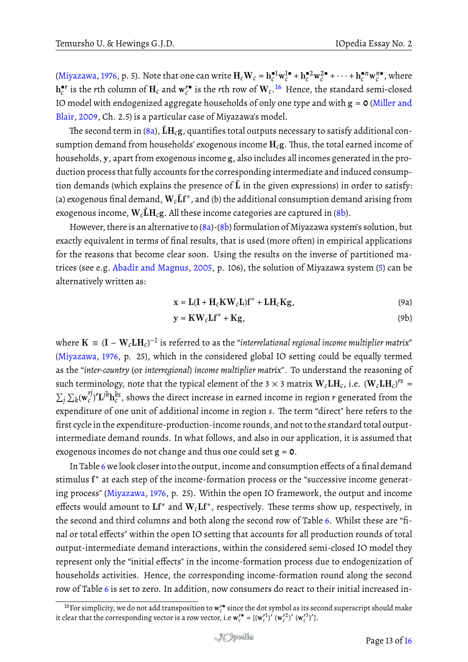[\(Miyazawa,](#page-15-5) [1976,](#page-15-5) p. 5). Note that one can write  $\mathbf{H}_c \mathbf{W}_c = \mathbf{h}_c^{\bullet 1} \mathbf{w}_c^{1 \bullet}$  $\frac{1}{c}$  +  $h_c^{\bullet 2} w_c^{2\bullet}$  $\int_{c}^{2\bullet} + \cdots + \mathbf{h}_{c}^{\bullet n} \mathbf{w}_{c}^{n\bullet}$ , where  $\mathbf{h}_c^{\bullet r}$  is the *r*th column of  $\mathbf{H}_c$  and  $\mathbf{w}_c^{\prime\bullet}$  is the *r*th row of  $\mathbf{W}_c$ . <sup>[16](#page-12-1)</sup> Hence, the standard semi-closed IO model with endogenized aggregate households of only one type and with g = **0** [\(Miller and](#page-15-12) [Blair,](#page-15-12) [2009,](#page-15-12) Ch. 2.5) is a particular case of Miyazawa's model.

The second term in [\(8a\)](#page-11-3),  ${\rm \tilde{L}H_{c}g}$ , quantifies total outputs necessary to satisfy additional consumption demand from households' exogenous income  $H_c$ g. Thus, the total earned income of households, y, apart from exogenous income g, also includes all incomes generated in the production process that fully accounts for the corresponding intermediate and induced consumption demands (which explains the presence of  $\tilde{L}$  in the given expressions) in order to satisfy: (a) exogenous final demand,  $\mathbf{W}_c \tilde{\mathbf{L}} \mathbf{f}^*$ , and (b) the additional consumption demand arising from exogenous income,  $\mathbf{W}_c \tilde{\mathbf{L}} \mathbf{H}_c \mathbf{g}$ . All these income categories are captured in [\(8b\)](#page-11-4).

However, there is an alternative to [\(8a\)](#page-11-3)-[\(8b\)](#page-11-4) formulation of Miyazawa system's solution, but exactly equivalent in terms of final results, that is used (more often) in empirical applications for the reasons that become clear soon. Using the results on the inverse of partitioned matrices (see e.g. [Abadir and Magnus,](#page-14-2) [2005,](#page-14-2) p. 106), the solution of Miyazawa system [\(5\)](#page-10-1) can be alternatively written as:

<span id="page-12-2"></span>
$$
\mathbf{x} = \mathbf{L}(\mathbf{I} + \mathbf{H}_c \mathbf{K} \mathbf{W}_c \mathbf{L}) \mathbf{f}^* + \mathbf{L} \mathbf{H}_c \mathbf{K} \mathbf{g},\tag{9a}
$$

<span id="page-12-0"></span>
$$
y = KWc Lf^* + Kg,
$$
 (9b)

where  ${\bf K}\,\equiv\,{({\bf I}-{\bf W}_c{\bf L}{\bf H}_c)^{-1}}$  is referred to as the "interrelational regional income multiplier matrix" [\(Miyazawa,](#page-15-5) [1976,](#page-15-5) p. 25), which in the considered global IO setting could be equally termed as the "*inter-country* (or *interregional*) *income multiplier matrix*". To understand the reasoning of such terminology, note that the typical element of the 3  $\times$  3 matrix  $\mathbf{W}_c\mathbf{L}\mathbf{H}_c$ , i.e.  $(\mathbf{W}_c\mathbf{L}\mathbf{H}_c)^{rs}$  =  $\sum_j \sum_k (\mathbf{w}_c^{rj})$  $\sigma_c''$ ) $'L^{jk} {\rm h}_c^{ks}$  , shows the direct increase in earned income in region  $r$  generated from the expenditure of one unit of additional income in region *s*. The term "direct" here refers to the first cycle in the expenditure-production-income rounds, and not to the standard total outputintermediate demand rounds. In what follows, and also in our application, it is assumed that exogenous incomes do not change and thus one could set g = **0**.

In Table [6](#page-13-0) we look closer into the output, income and consumption effects of a final demand stimulus  $f^*$  at each step of the income-formation process or the "successive income generating process" [\(Miyazawa,](#page-15-5) [1976,](#page-15-5) p. 25). Within the open IO framework, the output and income effects would amount to  $\mathbf{L} \mathbf{f}^*$  and  $\mathbf{W}_c \mathbf{L} \mathbf{f}^*$ , respectively. These terms show up, respectively, in the second and third columns and both along the second row of Table [6.](#page-13-0) Whilst these are "final or total effects" within the open IO setting that accounts for all production rounds of total output-intermediate demand interactions, within the considered semi-closed IO model they represent only the "initial effects" in the income-formation process due to endogenization of households activities. Hence, the corresponding income-formation round along the second row of Table [6](#page-13-0) is set to zero. In addition, now consumers do react to their initial increased in-

<span id="page-12-1"></span><sup>&</sup>lt;sup>16</sup> For simplicity, we do not add transposition to  $\mathbf{w}^{r\bullet}_c$  since the dot symbol as its second superscript should make it clear that the corresponding vector is a row vector, i.e  $\mathbf{w}_c^{r\bullet} = [(\mathbf{w}_c^{r1})' (\mathbf{w}_c^{r2})' (\mathbf{w}_c^{r3})']$ .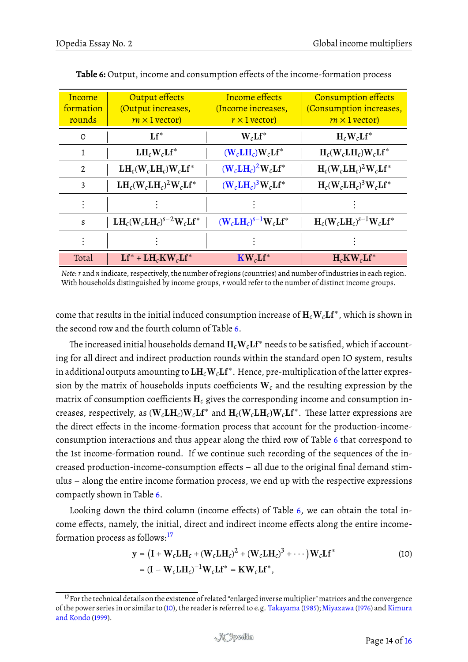| Income<br>formation<br>rounds | Output effects<br>(Output increases,<br>$rn \times 1$ vector) | Income effects<br>(Income increases,<br>$r \times 1$ vector)                        | <b>Consumption effects</b><br>(Consumption increases,<br>$rm \times1$ vector) |
|-------------------------------|---------------------------------------------------------------|-------------------------------------------------------------------------------------|-------------------------------------------------------------------------------|
| $\Omega$                      | $Lf^*$                                                        | $W_c Lf^*$                                                                          | $H_c W_c Lf^*$                                                                |
| 1                             | $LH_cW_cLf^*$                                                 | $(\mathbf{W}_c \mathbf{L} \mathbf{H}_c) \mathbf{W}_c \mathbf{L} \mathbf{f}^*$       | $H_c(W_c L H_c)W_c Lf^*$                                                      |
| 2                             | $LH_c(W_cLH_c)W_cLf^*$                                        | $(\mathbf{W}_c \mathbf{L} \mathbf{H}_c)^2 \mathbf{W}_c \mathbf{L} \mathbf{f}^*$     | $H_c(W_c L H_c)^2 W_c L f^*$                                                  |
| 3                             | $LH_c(W_cLH_c)^2W_cLf^*$                                      | $(\mathbf{W}_c \mathbf{L} \mathbf{H}_c)^3 \mathbf{W}_c \mathbf{L} \mathbf{f}^*$     | $H_c(W_c L H_c)^3 W_c L f^*$                                                  |
|                               |                                                               |                                                                                     |                                                                               |
| S                             | $LH_c(W_cLH_c)^{s-2}W_cLf^*$                                  | $(\mathbf{W}_c \mathbf{L} \mathbf{H}_c)^{s-1} \mathbf{W}_c \mathbf{L} \mathbf{f}^*$ | $H_c(W_c L H_c)^{s-1}W_c L f^*$                                               |
|                               |                                                               |                                                                                     |                                                                               |
| Total                         | $Lf^* + LH_cKW_cLf^*$                                         | $\mathbf{K}\mathbf{W}_c\mathbf{L}\mathbf{f}^*$                                      | $H_c K W_c Lf^*$                                                              |

<span id="page-13-0"></span>**Table 6:** Output, income and consumption effects of the income-formation process

*Note*: *r* and *n* indicate, respectively, the number of regions (countries) and number of industries in each region. With households distinguished by income groups, *r* would refer to the number of distinct income groups.

come that results in the initial induced consumption increase of  $\mathbf{H}_c\mathbf{W}_c\mathbf{L}\mathbf{f}^*$ , which is shown in the second row and the fourth column of Table [6.](#page-13-0)

The increased initial households demand  $H_cW_cLf^*$  needs to be satisfied, which if accounting for all direct and indirect production rounds within the standard open IO system, results in additional outputs amounting to  $\mathbf{L}\mathbf{H}_c\mathbf{W}_c\mathbf{L}\mathbf{f}^*$  . Hence, pre-multiplication of the latter expression by the matrix of households inputs coefficients W*<sup>c</sup>* and the resulting expression by the matrix of consumption coefficients H*<sup>c</sup>* gives the corresponding income and consumption increases, respectively, as  $(\mathbf{W}_c\mathbf{L}\mathbf{H}_c)\mathbf{W}_c\mathbf{L}\mathbf{f}^*$  and  $\mathbf{H}_c(\mathbf{W}_c\mathbf{L}\mathbf{H}_c)\mathbf{W}_c\mathbf{L}\mathbf{f}^*$ . These latter expressions are the direct effects in the income-formation process that account for the production-incomeconsumption interactions and thus appear along the third row of Table [6](#page-13-0) that correspond to the 1st income-formation round. If we continue such recording of the sequences of the increased production-income-consumption effects – all due to the original final demand stimulus – along the entire income formation process, we end up with the respective expressions compactly shown in Table [6.](#page-13-0)

Looking down the third column (income effects) of Table [6,](#page-13-0) we can obtain the total income effects, namely, the initial, direct and indirect income effects along the entire incomeformation process as follows:[17](#page-13-1)

<span id="page-13-2"></span>
$$
\mathbf{y} = (\mathbf{I} + \mathbf{W}_c \mathbf{L} \mathbf{H}_c + (\mathbf{W}_c \mathbf{L} \mathbf{H}_c)^2 + (\mathbf{W}_c \mathbf{L} \mathbf{H}_c)^3 + \cdots) \mathbf{W}_c \mathbf{L} \mathbf{f}^*
$$
\n
$$
= (\mathbf{I} - \mathbf{W}_c \mathbf{L} \mathbf{H}_c)^{-1} \mathbf{W}_c \mathbf{L} \mathbf{f}^* = \mathbf{K} \mathbf{W}_c \mathbf{L} \mathbf{f}^*,
$$
\n(10)

<span id="page-13-1"></span><sup>&</sup>lt;sup>17</sup> For the technical details on the existence of related "enlarged inverse multiplier" matrices and the convergence of the power series in or similar to [\(10\)](#page-13-2), the reader is referred to e.g. [Takayama](#page-15-16) [\(1985\)](#page-15-16); [Miyazawa](#page-15-5) [\(1976\)](#page-15-5) and [Kimura](#page-15-17) [and Kondo](#page-15-17) [\(1999\)](#page-15-17).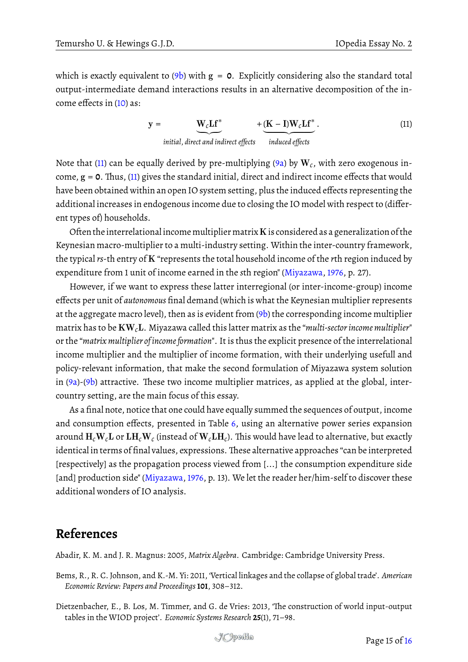which is exactly equivalent to  $(9b)$  with  $g = 0$ . Explicitly considering also the standard total output-intermediate demand interactions results in an alternative decomposition of the income effects in [\(10\)](#page-13-2) as:

> <span id="page-14-3"></span> $y = W_c L f^*$ | {z } *initial*, *direct and indirect effects*  $+$  (K – I)W<sub>c</sub>Lf<sup>\*</sup> induced effects . (11)

Note that [\(11\)](#page-14-3) can be equally derived by pre-multiplying [\(9a\)](#page-12-2) by  $\mathbf{W}_c$ , with zero exogenous income,  $g = 0$ . Thus, [\(11\)](#page-14-3) gives the standard initial, direct and indirect income effects that would have been obtained within an open IO system setting, plus the induced effects representing the additional increases in endogenous income due to closing the IO model with respect to (different types of) households.

Often the interrelational income multiplier matrix  $K$  is considered as a generalization of the Keynesian macro-multiplier to a multi-industry setting. Within the inter-country framework, the typical *rs*-th entry of K "represents the total household income of the *r*th region induced by expenditure from 1 unit of income earned in the *s*th region" [\(Miyazawa,](#page-15-5) [1976,](#page-15-5) p. 27).

However, if we want to express these latter interregional (or inter-income-group) income effects per unit of *autonomous* final demand (which is what the Keynesian multiplier represents at the aggregate macro level), then as is evident from  $(9b)$  the corresponding income multiplier matrix has to be KW*c*L. Miyazawa called this latter matrix as the "*multi-sector income multiplier*" or the "*matrix multiplier of income formation*". It is thus the explicit presence of the interrelational income multiplier and the multiplier of income formation, with their underlying usefull and policy-relevant information, that make the second formulation of Miyazawa system solution in [\(9a\)](#page-12-2)-[\(9b\)](#page-12-0) attractive. These two income multiplier matrices, as applied at the global, intercountry setting, are the main focus of this essay.

As a final note, notice that one could have equally summed the sequences of output, income and consumption effects, presented in Table [6,](#page-13-0) using an alternative power series expansion around  $\bf{H}_c\bf{W}_c\bf{L}$  or  $\bf{L}\bf{H}_c\bf{W}_c$  (instead of  $\bf{W}_c\bf{L}\bf{H}_c$ ). This would have lead to alternative, but exactly identical in terms of final values, expressions. These alternative approaches "can be interpreted [respectively] as the propagation process viewed from [...] the consumption expenditure side [and] production side" [\(Miyazawa,](#page-15-5) [1976,](#page-15-5) p. 13). We let the reader her/him-self to discover these additional wonders of IO analysis.

## **References**

<span id="page-14-2"></span>Abadir, K. M. and J. R. Magnus: 2005, *Matrix Algebra*. Cambridge: Cambridge University Press.

- <span id="page-14-1"></span>Bems, R., R. C. Johnson, and K.-M. Yi: 2011, 'Vertical linkages and the collapse of global trade'. *American Economic Review: Papers and Proceedings* **101**, 308–312.
- <span id="page-14-0"></span>Dietzenbacher, E., B. Los, M. Timmer, and G. de Vries: 2013, 'The construction of world input-output tables in the WIOD project'. *Economic Systems Research* **25**(1), 71–98.